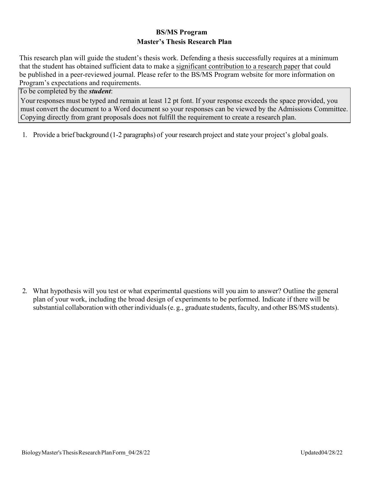## **BS/MS Program Master's Thesis Research Plan**

This research plan will guide the student's thesis work. Defending a thesis successfully requires at a minimum that the student has obtained sufficient data to make a significant contribution to a research paper that could be published in a peer-reviewed journal. Please refer to the BS/MS Program website for more information on Program's expectations and requirements.

## To be completed by the *student*:

Your responses must be typed and remain at least 12 pt font. If your response exceeds the space provided, you must convert the document to a Word document so your responses can be viewed by the Admissions Committee. Copying directly from grant proposals does not fulfill the requirement to create a research plan.

1. Provide a brief background (1-2 paragraphs) of your research project and state your project's global goals.

2. What hypothesis will you test or what experimental questions will you aim to answer? Outline the general plan of your work, including the broad design of experiments to be performed. Indicate if there will be substantial collaboration with other individuals (e. g., graduate students, faculty, and other BS/MS students).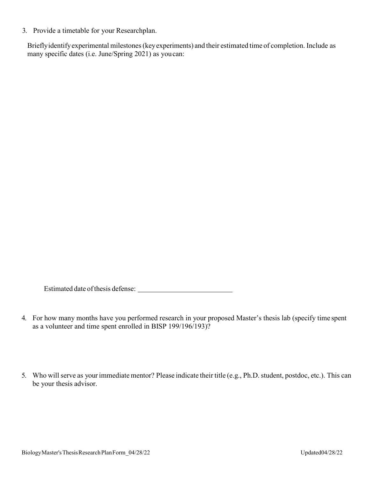3. Provide a timetable for your Researchplan.

Brieflyidentifyexperimental milestones(keyexperiments) and their estimated time of completion. Include as many specific dates (i.e. June/Spring 2021) as youcan:

Estimated date of thesis defense:

- 4. For how many months have you performed research in your proposed Master's thesis lab (specify time spent as a volunteer and time spent enrolled in BISP 199/196/193)?
- 5. Who will serve as your immediate mentor? Please indicate their title (e.g., Ph.D. student, postdoc, etc.). This can be your thesis advisor.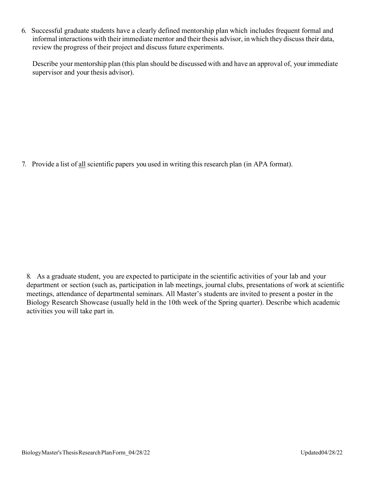6. Successful graduate students have a clearly defined mentorship plan which includes frequent formal and informal interactions with their immediate mentor and their thesis advisor, in which they discuss their data, review the progress of their project and discuss future experiments.

Describe your mentorship plan (this plan should be discussed with and have an approval of, your immediate supervisor and your thesis advisor).

7. Provide a list of all scientific papers you used in writing this research plan (in APA format).

8. As a graduate student, you are expected to participate in the scientific activities of your lab and your department or section (such as, participation in lab meetings, journal clubs, presentations of work at scientific meetings, attendance of departmental seminars. All Master's students are invited to present a poster in the Biology Research Showcase (usually held in the 10th week of the Spring quarter). Describe which academic activities you will take part in.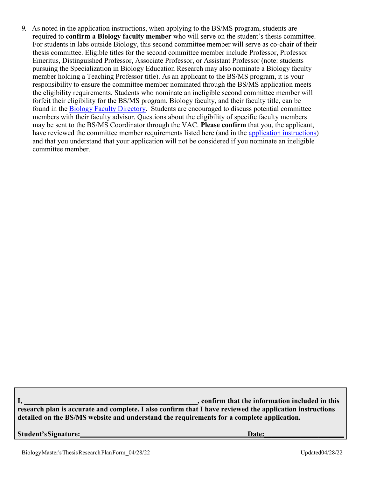9. As noted in the application instructions, when applying to the BS/MS program, students are required to **confirm a Biology faculty member** who will serve on the student's thesis committee. For students in labs outside Biology, this second committee member will serve as co-chair of their thesis committee. Eligible titles for the second committee member include Professor, Professor Emeritus, Distinguished Professor, Associate Professor, or Assistant Professor (note: students pursuing the Specialization in Biology Education Research may also nominate a Biology faculty member holding a Teaching Professor title). As an applicant to the BS/MS program, it is your responsibility to ensure the committee member nominated through the BS/MS application meets the eligibility requirements. Students who nominate an ineligible second committee member will forfeit their eligibility for the BS/MS program. Biology faculty, and their faculty title, can be found in the [Biology Faculty Directory.](https://biology.ucsd.edu/administration/directories/directory-faculty.html) Students are encouraged to discuss potential committee members with their faculty advisor. Questions about the eligibility of specific faculty members may be sent to the BS/MS Coordinator through the VAC. **Please confirm** that you, the applicant, have reviewed the committee member requirements listed here (and in the [application instructions\)](https://biology.ucsd.edu/education/contiguous-bsms/current-undergraduate-students/application-instructions.html) and that you understand that your application will not be considered if you nominate an ineligible committee member.

**I,** the information included in this  $\alpha$ , confirm that the information included in this  $\alpha$ **research plan is accurate and complete. I also confirm that I have reviewed the application instructions detailed on the BS/MS website and understand the requirements for a complete application.**

**Student'sSignature: Date:\_\_\_\_\_\_\_\_\_\_\_\_\_\_\_\_\_\_\_\_\_\_**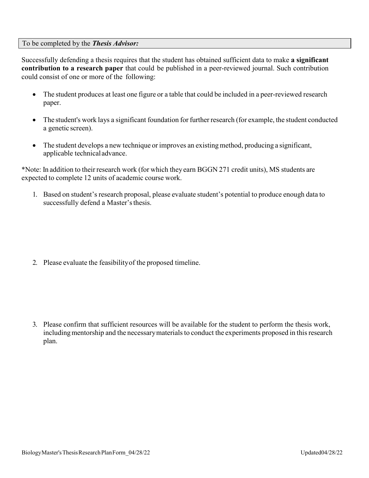## To be completed by the *Thesis Advisor:*

Successfully defending a thesis requires that the student has obtained sufficient data to make **a significant contribution to a research paper** that could be published in a peer-reviewed journal. Such contribution could consist of one or more of the following:

- The student produces at least one figure or a table that could be included in a peer-reviewed research paper.
- The student's work lays a significant foundation for further research (for example, the student conducted a genetic screen).
- The student develops a new technique or improves an existing method, producing a significant, applicable technicaladvance.

\*Note: In addition to their research work (for which they earn BGGN 271 credit units), MS students are expected to complete 12 units of academic course work.

1. Based on student's research proposal, please evaluate student's potential to produce enough data to successfully defend a Master's thesis.

2. Please evaluate the feasibility of the proposed timeline.

3. Please confirm that sufficient resources will be available for the student to perform the thesis work, including mentorship and the necessary materials to conduct the experiments proposed in this research plan.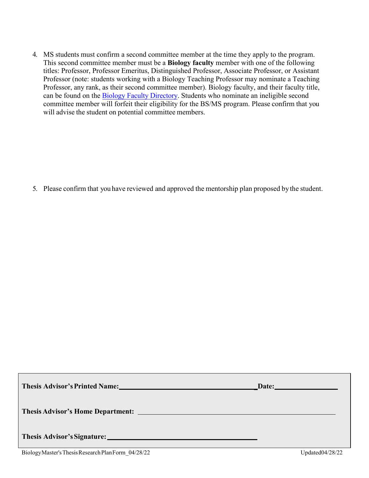4. MS students must confirm a second committee member at the time they apply to the program. This second committee member must be a **Biology faculty** member with one of the following titles: Professor, Professor Emeritus, Distinguished Professor, Associate Professor, or Assistant Professor (note: students working with a Biology Teaching Professor may nominate a Teaching Professor, any rank, as their second committee member). Biology faculty, and their faculty title, can be found on the Biology [Faculty Directory.](https://biology.ucsd.edu/administration/directories/directory-faculty.html) Students who nominate an ineligible second committee member will forfeit their eligibility for the BS/MS program. Please confirm that you will advise the student on potential committee members.

5. Please confirm that you have reviewed and approved the mentorship plan proposed by the student.

|                                                                                                                                                                                                                               | Date: |
|-------------------------------------------------------------------------------------------------------------------------------------------------------------------------------------------------------------------------------|-------|
|                                                                                                                                                                                                                               |       |
| Thesis Advisor's Signature: 1986 and 2008 and 2008 and 2008 and 2008 and 2008 and 2008 and 2008 and 2008 and 2008 and 2008 and 2008 and 2008 and 2008 and 2008 and 2008 and 2008 and 2008 and 2008 and 2008 and 2008 and 2008 |       |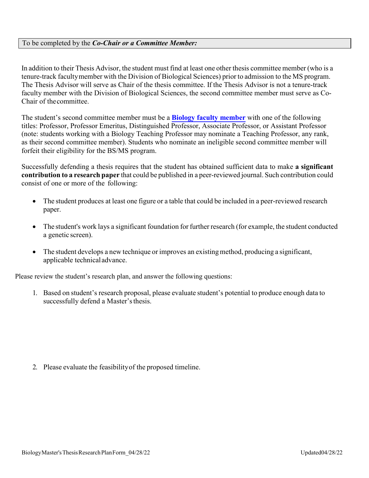## To be completed by the *Co-Chair or a Committee Member:*

In addition to their Thesis Advisor, the student must find at least one other thesis committee member (who is a tenure-track facultymember with the Division of Biological Sciences) prior to admission to the MS program. The Thesis Advisor will serve as Chair of the thesis committee. If the Thesis Advisor is not a tenure-track faculty member with the Division of Biological Sciences, the second committee member must serve as Co-Chair of the committee.

The student's second committee member must be a **[Biology faculty member](https://biology.ucsd.edu/administration/directories/directory-faculty.html)** with one of the following titles: Professor, Professor Emeritus, Distinguished Professor, Associate Professor, or Assistant Professor (note: students working with a Biology Teaching Professor may nominate a Teaching Professor, any rank, as their second committee member). Students who nominate an ineligible second committee member will forfeit their eligibility for the BS/MS program.

Successfully defending a thesis requires that the student has obtained sufficient data to make **a significant contribution to a research paper** that could be published in a peer-reviewed journal. Such contribution could consist of one or more of the following:

- The student produces at least one figure or a table that could be included in a peer-reviewed research paper.
- The student's work lays a significant foundation for further research (for example, the student conducted a genetic screen).
- The student develops a new technique or improves an existing method, producing a significant, applicable technicaladvance.

Please review the student's research plan, and answer the following questions:

1. Based on student's research proposal, please evaluate student's potential to produce enough data to successfully defend a Master's thesis.

2. Please evaluate the feasibility of the proposed timeline.